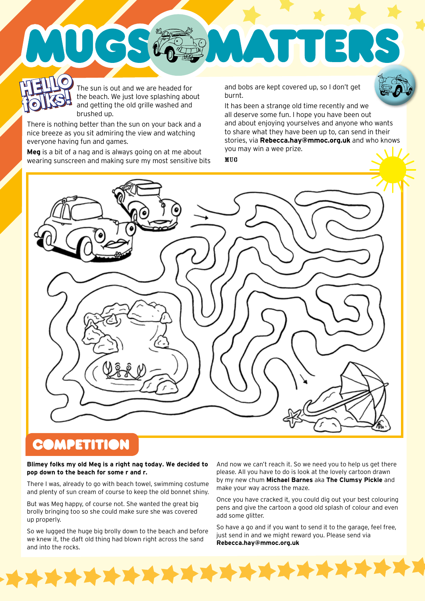The sun is out and we are headed for the beach. We just love splashing about and getting the old grille washed and brushed up. **HELLO HELLO**  The sun is out and we are headed for and bobs are kept covered up, so I don't get<br>
It has been a strange old time recently and we<br>
It has been a strange old time recently and we

There is nothing better than the sun on your back and a nice breeze as you sit admiring the view and watching everyone having fun and games.

UGS

**folks!**

**Meg** is a bit of a nag and is always going on at me about wearing sunscreen and making sure my most sensitive bits burnt.

**ATH** 



all deserve some fun. I hope you have been out and about enjoying yourselves and anyone who wants to share what they have been up to, can send in their stories, via **Rebecca.hay@mmoc.org.uk** and who knows you may win a wee prize.

 $\blacksquare$ 

MUG



## **COMPETITION**

 $\blacktriangleright$ 

#### **Blimey folks my old Meg is a right nag today. We decided to pop down to the beach for some r and r.**

There I was, already to go with beach towel, swimming costume and plenty of sun cream of course to keep the old bonnet shiny.

But was Meg happy, of course not. She wanted the great big brolly bringing too so she could make sure she was covered up properly.

So we lugged the huge big brolly down to the beach and before we knew it, the daft old thing had blown right across the sand and into the rocks.

\*\*\*\*\*\*\*\*\*\*

And now we can't reach it. So we need you to help us get there please. All you have to do is look at the lovely cartoon drawn by my new chum **Michael Barnes** aka **The Clumsy Pickle** and make your way across the maze.

Once you have cracked it, you could dig out your best colouring pens and give the cartoon a good old splash of colour and even add some glitter.

So have a go and if you want to send it to the garage, feel free, just send in and we might reward you. Please send via **Rebecca.hay@mmoc.org.uk**